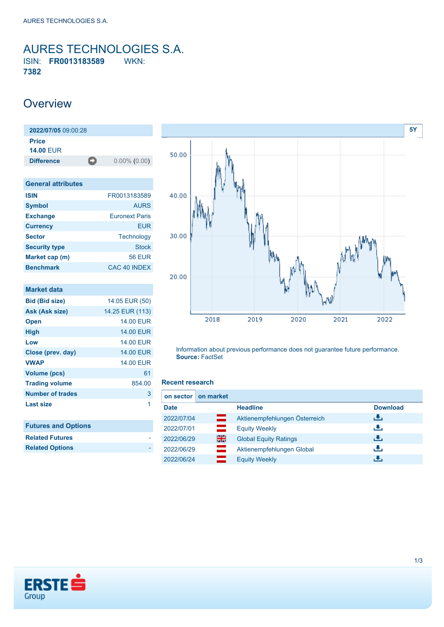<span id="page-0-0"></span>AURES TECHNOLOGIES S.A. ISIN: **FR0013183589** WKN: **7382**

### **Overview**

**2022/07/05** 09:00:28 **Price 14.00** EUR **Difference** 0.00% (0.00)

| <b>General attributes</b> |                       |
|---------------------------|-----------------------|
| <b>ISIN</b>               | FR0013183589          |
| <b>Symbol</b>             | <b>AURS</b>           |
| <b>Exchange</b>           | <b>Euronext Paris</b> |
| <b>Currency</b>           | FUR                   |
| <b>Sector</b>             | Technology            |
| <b>Security type</b>      | <b>Stock</b>          |
| Market cap (m)            | <b>56 EUR</b>         |
| <b>Benchmark</b>          | CAC 40 INDEX          |

| <b>Market data</b>         |                  |
|----------------------------|------------------|
| <b>Bid (Bid size)</b>      | 14.05 EUR (50)   |
| Ask (Ask size)             | 14.25 EUR (113)  |
| <b>Open</b>                | <b>14.00 EUR</b> |
| High                       | <b>14.00 EUR</b> |
| Low                        | <b>14.00 EUR</b> |
| Close (prev. day)          | <b>14.00 EUR</b> |
| <b>VWAP</b>                | <b>14.00 EUR</b> |
| Volume (pcs)               | 61               |
| <b>Trading volume</b>      | 854.00           |
| Number of trades           | 3                |
| <b>Last size</b>           | 1                |
| <b>Futures and Options</b> |                  |
| <b>Related Futures</b>     |                  |
| <b>Related Options</b>     |                  |



Information about previous performance does not guarantee future performance. **Source:** FactSet

#### **Recent research**

| on market<br>on sector |                               |                 |
|------------------------|-------------------------------|-----------------|
| <b>Date</b>            | <b>Headline</b>               | <b>Download</b> |
| ═<br>2022/07/04        | Aktienempfehlungen Österreich | æ,              |
| 2022/07/01             | <b>Equity Weekly</b>          | رنان            |
| 을중<br>2022/06/29       | <b>Global Equity Ratings</b>  | رالى            |
| 2022/06/29             | Aktienempfehlungen Global     | رنان            |
| 2022/06/24             | <b>Equity Weekly</b>          | J.              |

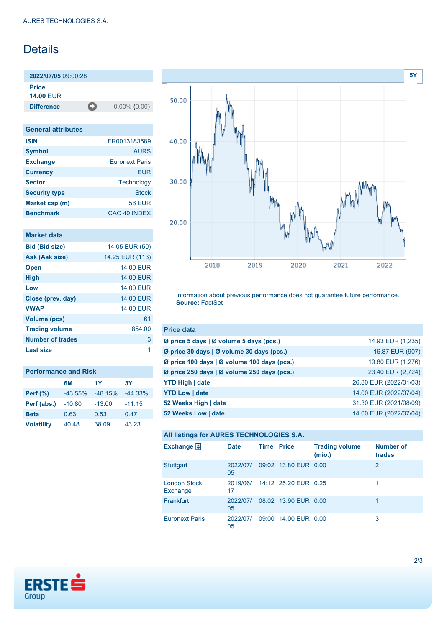## Details

**2022/07/05** 09:00:28 **Price**

**14.00** EUR

**Difference** 0.00% (0.00)

| <b>General attributes</b> |                       |
|---------------------------|-----------------------|
| <b>ISIN</b>               | FR0013183589          |
| <b>Symbol</b>             | <b>AURS</b>           |
| <b>Exchange</b>           | <b>Euronext Paris</b> |
| <b>Currency</b>           | FUR                   |
| <b>Sector</b>             | Technology            |
| <b>Security type</b>      | <b>Stock</b>          |
| Market cap (m)            | <b>56 EUR</b>         |
| <b>Benchmark</b>          | CAC 40 INDEX          |

#### **Market data**

| <b>Bid (Bid size)</b> | 14.05 EUR (50)   |
|-----------------------|------------------|
| Ask (Ask size)        | 14.25 EUR (113)  |
| <b>Open</b>           | <b>14,00 EUR</b> |
| <b>High</b>           | <b>14.00 EUR</b> |
| Low                   | <b>14.00 EUR</b> |
| Close (prev. day)     | <b>14.00 EUR</b> |
| <b>VWAP</b>           | <b>14,00 EUR</b> |
| <b>Volume (pcs)</b>   | 61               |
| <b>Trading volume</b> | 854.00           |
| Number of trades      | 3                |
| Last size             | 1                |
|                       |                  |

| <b>Performance and Risk</b> |           |           |           |  |
|-----------------------------|-----------|-----------|-----------|--|
|                             | 6M        | 1Y        | 3Υ        |  |
| <b>Perf</b> (%)             | $-43.55%$ | $-48.15%$ | $-44.33%$ |  |
| Perf (abs.)                 | $-10.80$  | $-13.00$  | $-11.15$  |  |
| <b>Beta</b>                 | 0.63      | 0.53      | 0.47      |  |
| <b>Volatility</b>           | 40.48     | 38.09     | 43.23     |  |



Information about previous performance does not guarantee future performance. **Source:** FactSet

| <b>Price data</b>                                         |                        |
|-----------------------------------------------------------|------------------------|
| $\emptyset$ price 5 days $\emptyset$ volume 5 days (pcs.) | 14.93 EUR (1,235)      |
| Ø price 30 days   Ø volume 30 days (pcs.)                 | 16.87 EUR (907)        |
| Ø price 100 days   Ø volume 100 days (pcs.)               | 19.80 EUR (1,276)      |
| Ø price 250 days   Ø volume 250 days (pcs.)               | 23.40 EUR (2,724)      |
| <b>YTD High   date</b>                                    | 26.80 EUR (2022/01/03) |
| <b>YTD Low   date</b>                                     | 14.00 EUR (2022/07/04) |
| 52 Weeks High   date                                      | 31.30 EUR (2021/08/09) |
| 52 Weeks Low   date                                       | 14.00 EUR (2022/07/04) |

#### **All listings for AURES TECHNOLOGIES S.A.**

| Exchange $\Box$                 | <b>Date</b>    | <b>Time Price</b> |                               | <b>Trading volume</b><br>(mio.) | <b>Number of</b><br>trades |
|---------------------------------|----------------|-------------------|-------------------------------|---------------------------------|----------------------------|
| <b>Stuttgart</b>                | 2022/07/<br>05 |                   | 09:02 13.80 EUR 0.00          |                                 | 2                          |
| <b>London Stock</b><br>Exchange | 17             |                   | 2019/06/ 14:12 25.20 EUR 0.25 |                                 |                            |
| Frankfurt                       | 2022/07/<br>05 |                   | 08:02 13.90 EUR 0.00          |                                 |                            |
| <b>Euronext Paris</b>           | 2022/07/<br>05 |                   | 09:00 14.00 EUR 0.00          |                                 | 3                          |